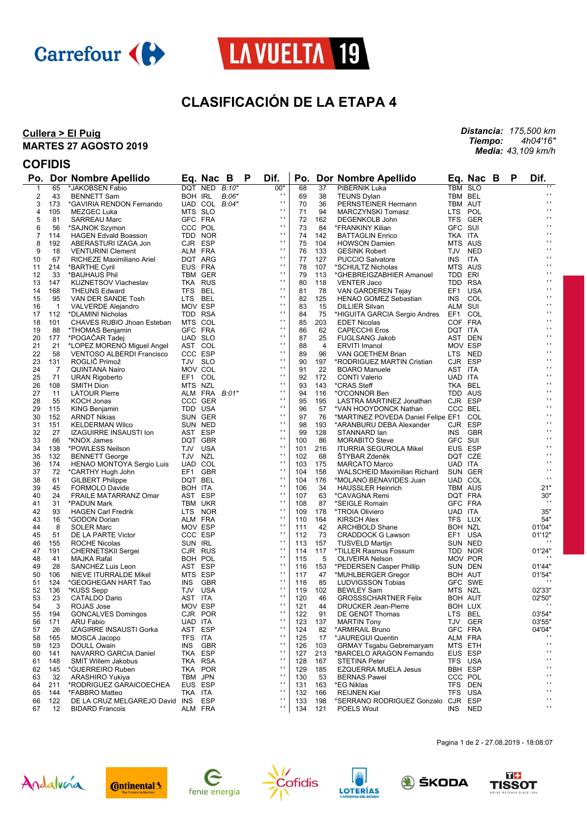



# **CLASIFICACIÓN DE LA ETAPA 4**

#### **Cullera > El Puig MARTES 27 AGOSTO 2019**

*Distancia: 175,500 km Tiempo: 4h04'16" Media: 43,109 km/h*

## **COFIDIS**

|                |              | Po. Dor Nombre Apellido           |         | Eq. Nac B          |       | P | Dif.                         |            |          | Po. Dor Nombre Apellido                |            | Eq. Nac B      | P | Dif.                         |
|----------------|--------------|-----------------------------------|---------|--------------------|-------|---|------------------------------|------------|----------|----------------------------------------|------------|----------------|---|------------------------------|
| $\mathbf 1$    | 65           | *JAKOBSEN Fabio                   |         | DQT NED B:10"      |       |   | 00"                          | 68         | 37       | PIBERNIK Luka                          |            | <b>TBM SLO</b> |   |                              |
| $\overline{2}$ | 43           | <b>BENNETT Sam</b>                |         | BOH IRL            | B:06" |   | $\blacksquare$               | 69         | 38       | <b>TEUNS Dylan</b>                     | TBM BEL    |                |   | $\mathbf{r}$                 |
| 3              | 173          | *GAVIRIA RENDON Fernando          |         | UAD COL $B:04"$    |       |   | $\mathbf{r}$                 | 70         | 36       | PERNSTEINER Hermann                    | TBM AUT    |                |   | $\mathbf{r}$                 |
| 4              | 105          | MEZGEC Luka                       |         | MTS SLO            |       |   | $\blacksquare$               | 71         | 94       | MARCZYNSKI Tomasz                      | LTS POL    |                |   | $\mathbf{r}$                 |
| 5              | 81           | <b>SARREAU Marc</b>               |         | GFC FRA            |       |   | $\mathbf{r}$                 | 72         | 162      | DEGENKOLB John                         |            | TFS GER        |   | $\cdot$                      |
| 6              | 56           | *SAJNOK Szymon                    |         | CCC POL            |       |   | $\mathbf{r}$                 | 73         | 84       | *FRANKINY Kilian                       | GFC SUI    |                |   | $\mathbf{r}$                 |
| 7              | 114          | <b>HAGEN Edvald Boasson</b>       |         | TDD NOR            |       |   | $\mathbf{r}$                 | 74         | 142      | <b>BATTAGLIN Enrico</b>                | TKA ITA    |                |   | $\mathbf{r}$                 |
| 8              | 192          | ABERASTURI IZAGA Jon              |         | CJR ESP            |       |   | $\mathbf{r}$                 | 75         | 104      | <b>HOWSON Damien</b>                   | MTS AUS    |                |   | $\cdot$                      |
| 9              | 18           | <b>VENTURINI Clement</b>          | ALM FRA |                    |       |   | $\mathbf{r}$                 | 76         | 133      | <b>GESINK Robert</b>                   | TJV NED    |                |   | $\mathbf{r}$                 |
| 10             | 67           | RICHEZE Maximiliano Ariel         |         | DQT ARG            |       |   | $\mathbf{r}$                 | 77         | 127      | <b>PUCCIO Salvatore</b>                | <b>INS</b> | ITA            |   | $\mathbf{r}$                 |
| 11             | 214          | *BARTHE Cyril                     |         | EUS FRA            |       |   | $\mathbf{r}$                 | 78         | 107      | *SCHULTZ Nicholas                      | MTS AUS    |                |   | $\cdot$                      |
| 12             | 33           | *BAUHAUS Phil                     |         | TBM GER            |       |   | $\mathbf{r}$                 | 79         | 113      | *GHEBREIGZABHIER Amanuel               | TDD ERI    |                |   | $\mathbf{r}$                 |
| 13             | 147          | <b>KUZNETSOV Viacheslav</b>       |         | TKA RUS            |       |   | $\mathbf{r}$                 | 80         | 118      | <b>VENTER Jaco</b>                     | TDD RSA    |                |   | $\mathbf{r}$                 |
| 14             | 168          | <b>THEUNS Edward</b>              | TFS BEL |                    |       |   | $\mathbf{r}$                 | 81         | 78       | VAN GARDEREN Tejay                     | EF1 USA    |                |   | $\cdot$                      |
| 15             | 95           | VAN DER SANDE Tosh                | LTS BEL |                    |       |   | $\mathbf{r}$                 | 82         | 125      | <b>HENAO GOMEZ Sebastian</b>           | INS COL    |                |   | $\mathbf{r}$                 |
| 16             | $\mathbf{1}$ | VALVERDE Alejandro                | MOV ESP |                    |       |   | $\mathbf{r}$                 | 83         | 15       | <b>DILLIER Silvan</b>                  | ALM SUI    |                |   | $\mathbf{r}$                 |
| 17             | 112          | *DLAMINI Nicholas                 |         | TDD RSA            |       |   | $\mathbf{r}$                 | 84         | 75       | *HIGUITA GARCIA Sergio Andres          | EF1 COL    |                |   | $\cdot$                      |
| 18             | 101          | CHAVES RUBIO Jhoan Esteban        |         | MTS COL            |       |   | $\mathbf{r}$<br>$\mathbf{r}$ | 85         | 203      | <b>EDET Nicolas</b>                    |            | COF FRA        |   | $\mathbf{r}$<br>$\mathbf{r}$ |
| 19             | 88           | *THOMAS Benjamin                  |         | GFC FRA            |       |   |                              | 86         | 62       | <b>CAPECCHI Eros</b>                   | DQT ITA    |                |   |                              |
| 20             | 177          | *POGACAR Tadej                    |         | UAD SLO            |       |   | $\mathbf{r}$                 | 87         | 25       | <b>FUGLSANG Jakob</b>                  | AST DEN    |                |   | $\cdot$                      |
| 21             | 21           | *LOPEZ MORENO Miguel Angel        |         | AST COL            |       |   | $\mathbf{r}$<br>$\mathbf{r}$ | 88         | 4        | <b>ERVITI Imanol</b>                   | MOV ESP    |                |   | $\mathbf{r}$<br>$\mathbf{r}$ |
| 22             | 58           | <b>VENTOSO ALBERDI Francisco</b>  |         | CCC ESP            |       |   |                              | 89         | 96       | VAN GOETHEM Brian                      | LTS NED    |                |   |                              |
| 23             | 131          | ROGLIĆ Primož                     |         | TJV SLO            |       |   | $\mathbf{r}$                 | 90         | 197      | *RODRIGUEZ MARTIN Cristian             | CJR ESP    |                |   | $\cdot$                      |
| 24             | 7            | QUINTANA Nairo                    |         | MOV COL            |       |   | $\mathbf{r}$<br>$\mathbf{r}$ | 91         | 22       | <b>BOARO Manuele</b>                   | AST ITA    |                |   | $\mathbf{r}$<br>$\mathbf{r}$ |
| 25             | 71           | <b>URAN Rigoberto</b>             |         | EF1 COL            |       |   |                              | 92         | 172      | <b>CONTI Valerio</b>                   | UAD ITA    |                |   |                              |
| 26             | 108          | <b>SMITH Dion</b>                 | MTS NZL |                    |       |   | $\mathbf{r}$                 | 93         | 143      | *CRAS Steff                            | TKA BEL    |                |   | $\cdot$                      |
| 27             | 11           | <b>LATOUR Pierre</b>              |         | ALM FRA B:01"      |       |   | $\mathbf{r}$<br>$\mathbf{r}$ | 94         | 116      | *O'CONNOR Ben                          | TDD AUS    |                |   | $\mathbf{r}$<br>$\mathbf{r}$ |
| 28             | 55           | KOCH Jonas                        |         | CCC GER            |       |   | $\mathbf{r}$                 | 95         | 195      | LASTRA MARTINEZ Jonathan               | CJR ESP    |                |   | $\cdot$                      |
| 29             | 115          | <b>KING Benjamin</b>              |         | TDD USA            |       |   | $\blacksquare$               | 96         | 57       | *VAN HOOYDONCK Nathan                  | CCC BEL    |                |   | $\mathbf{r}$                 |
| 30             | 152          | <b>ARNDT Nikias</b>               |         | SUN GER            |       |   | $\mathbf{r}$                 | 97         | 76       | *MARTINEZ POVEDA Daniel Felipe EF1 COL |            |                |   | $\mathbf{r}$                 |
| 31             | 151          | <b>KELDERMAN Wilco</b>            |         | SUN NED            |       |   | $\mathbf{r}$                 | 98         | 193      | *ARANBURU DEBA Alexander               | CJR ESP    |                |   | $\cdot$                      |
| 32             | 27           | <b>IZAGUIRRE INSAUSTI Ion</b>     |         | AST ESP            |       |   | $\mathbf{r}$                 | 99         | 128      | STANNARD lan                           |            | INS GBR        |   | $\mathbf{r}$                 |
| 33             | 66           | *KNOX James                       |         | DQT GBR            |       |   | $\blacksquare$               | 100        | 86       | <b>MORABITO Steve</b>                  | GFC SUI    |                |   | $\mathbf{r}$                 |
| 34             | 138          | *POWLESS Neilson                  | TJV USA |                    |       |   | $\mathbf{r}$                 | 101        | 216      | <b>ITURRIA SEGUROLA Mikel</b>          | EUS ESP    |                |   | $\cdot$                      |
| 35             | 132          | <b>BENNETT George</b>             | TJV NZL |                    |       |   | $\mathbf{r}$                 | 102        | 68       | ŠTYBAR Zdeněk                          | DQT CZE    |                |   | $\mathbf{r}$                 |
| 36             | 174          | HENAO MONTOYA Sergio Luis         |         | UAD COL            |       |   | $\blacksquare$               | 103        | 175      | <b>MARCATO Marco</b>                   | UAD ITA    |                |   | $\mathbf{r}$                 |
| 37             | 72           | *CARTHY Hugh John                 |         | EF1 GBR            |       |   | $\mathbf{r}$                 | 104        | 158      | WALSCHEID Maximilian Richard           |            | SUN GER        |   | $\cdots$                     |
| 38             | 61           | <b>GILBERT Philippe</b>           | DQT BEL |                    |       |   | $\mathbf{r}$                 | 104        | 176      | *MOLANO BENAVIDES Juan                 | UAD COL    |                |   |                              |
| 39             | 45           | <b>FORMOLO Davide</b>             | BOH ITA |                    |       |   | $\mathbf{r}$                 | 106        | 34       | <b>HAUSSLER Heinrich</b>               | TBM AUS    |                |   | $21"$                        |
| 40             | 24           | FRAILE MATARRANZ Omar             |         | AST ESP            |       |   | $\mathbf{r}$                 | 107        | 63       | *CAVAGNA Remi                          | DQT FRA    |                |   | 30"<br>$\cdots$              |
| 41             | 31           | *PADUN Mark                       |         | TBM UKR            |       |   | $\mathbf{r}$                 | 108        | 87       | *SEIGLE Romain                         | GFC FRA    |                |   |                              |
| 42             | 93           | <b>HAGEN Carl Fredrik</b>         |         | LTS NOR            |       |   | $\mathbf{r}$                 | 109        | 178      | *TROIA Oliviero                        | UAD ITA    |                |   | 35"                          |
| 43             | 16           | *GODON Dorian                     |         | ALM FRA            |       |   | $\mathbf{r}$                 | 110        | 164      | <b>KIRSCH Alex</b>                     | TFS LUX    |                |   | 54"                          |
| 44             | 8            | <b>SOLER Marc</b>                 |         | MOV ESP            |       |   | $\mathbf{r}$                 | 111        | 42       | <b>ARCHBOLD Shane</b>                  |            | BOH NZL        |   | 01'04"                       |
| 45             | 51           | DE LA PARTE Victor                |         | CCC ESP            |       |   | $\mathbf{r}$                 | 112        | 73       | <b>CRADDOCK G Lawson</b>               | EF1 USA    |                |   | 01'12"<br>$\cdots$           |
| 46             | 155          | ROCHE Nicolas                     | SUN IRL |                    |       |   | $\mathbf{r}$                 | 113        | 157      | <b>TUSVELD Martijn</b>                 | SUN NED    |                |   |                              |
| 47             | 191          | <b>CHERNETSKII Sergei</b>         |         | CJR RUS            |       |   | $\mathbf{r}$                 | 114        | 117      | *TILLER Rasmus Fossum                  |            | TDD NOR        |   | 01'24"                       |
| 48             | 41           | MAJKA Rafal                       |         | BOH POL            |       |   | $\mathbf{r}$                 | 115        | 5        | <b>OLIVEIRA Nelson</b>                 | SUN DEN    | MOV POR        |   |                              |
| 49             | 28           | SANCHEZ Luis Leon                 |         | AST ESP            |       |   | $\mathbf{r}$                 | 116<br>117 | 153      | *PEDERSEN Casper Phillip               |            |                |   | 01'44"                       |
| 50<br>51       | 106          | NIEVE ITURRALDE Mikel             |         | MTS ESP<br>INS GBR |       |   | $\mathbf{r}$                 | 118        | 47<br>85 | *MUHLBERGER Gregor                     | BOH AUT    | GFC SWE        |   | 01'54"                       |
| 52             | 124<br>136   | *GEOGHEGAN HART Tao<br>*KUSS Sepp | TJV USA |                    |       |   | $\mathbf{r}$                 | 119        | 102      | LUDVIGSSON Tobias<br><b>BEWLEY Sam</b> | MTS NZL    |                |   | 02'33"                       |
| 53             | 23           | <b>CATALDO Dario</b>              | AST ITA |                    |       |   | $\mathbf{r}$                 | 120        | 46       | <b>GROSSSCHARTNER Felix</b>            |            | BOH AUT        |   | 02'50"                       |
| 54             | 3            | ROJAS Jose                        |         | MOV ESP            |       |   | $\mathbf{r}$                 | 121        | 44       | <b>DRUCKER Jean-Pierre</b>             |            | BOH LUX        |   |                              |
| 55             | 194          | <b>GONCALVES Domingos</b>         |         | CJR POR            |       |   | $\mathbf{r}$                 | 122        | 91       | DE GENDT Thomas                        | LTS BEL    |                |   | 03'54"                       |
| 56             | 171          | ARU Fabio                         | UAD ITA |                    |       |   | $\blacksquare$               | 123        | 137      | <b>MARTIN Tony</b>                     |            | TJV GER        |   | 03'55"                       |
| 57             | 26           | IZAGIRRE INSAUSTI Gorka           |         | AST ESP            |       |   | $\mathbf{r}$                 | 124        | 82       | *ARMIRAIL Bruno                        |            | GFC FRA        |   | 04'04"                       |
| 58             | 165          | MOSCA Jacopo                      | TFS ITA |                    |       |   | $\blacksquare$               | 125        | 17       | *JAUREGUI Quentin                      | ALM FRA    |                |   |                              |
| 59             | 123          | DOULL Owain                       |         | INS GBR            |       |   | $\mathbf{r}$                 | 126        | 103      | <b>GRMAY Tsgabu Gebremaryam</b>        |            | MTS ETH        |   | $\mathbf{r}$                 |
| 60             | 141          | NAVARRO GARCIA Daniel             |         | TKA ESP            |       |   | $\blacksquare$               | 127        | 213      | *BARCELO ARAGON Fernando               |            | EUS ESP        |   | $\mathbf{r}$                 |
| 61             | 148          | <b>SMIT Willem Jakobus</b>        |         | TKA RSA            |       |   | $\blacksquare$               | 128        | 167      | <b>STETINA Peter</b>                   |            | TFS USA        |   | $\mathbf{r}$                 |
| 62             | 145          | *GUERREIRO Ruben                  |         | TKA POR            |       |   | $\mathbf{r}$                 | 129        | 185      | <b>EZQUERRA MUELA Jesus</b>            |            | <b>BBH ESP</b> |   | $\mathbf{r}$                 |
| 63             | 32           | ARASHIRO Yukiya                   |         | TBM JPN            |       |   | $\blacksquare$               | 130        | 53       | <b>BERNAS Pawel</b>                    |            | CCC POL        |   | $\blacksquare$               |
| 64             | 211          | *RODRIGUEZ GARAICOECHEA           |         | EUS ESP            |       |   | $\blacksquare$               | 131        | 163      | *EG Niklas                             | TFS DEN    |                |   | $\mathbf{r}$                 |
| 65             | 144          | *FABBRO Matteo                    | TKA ITA |                    |       |   | $\mathbf{r}$                 | 132        | 166      | <b>REIJNEN Kiel</b>                    |            | TFS USA        |   | $\mathbf{r}$                 |
| 66             | 122          | DE LA CRUZ MELGAREJO David INS    |         | ESP                |       |   | $\mathbf{r}$                 | 133        | 198      | *SERRANO RODRIGUEZ Gonzalo CJR ESP     |            |                |   | $\blacksquare$               |
| 67             | 12           | <b>BIDARD Francois</b>            |         | ALM FRA            |       |   | $\blacksquare$               | 134        | 121      | POELS Wout                             | INS NED    |                |   | $\mathbf{r}$                 |
|                |              |                                   |         |                    |       |   |                              |            |          |                                        |            |                |   |                              |















Pagina 1 de 2 - 27.08.2019 - 18:08:07